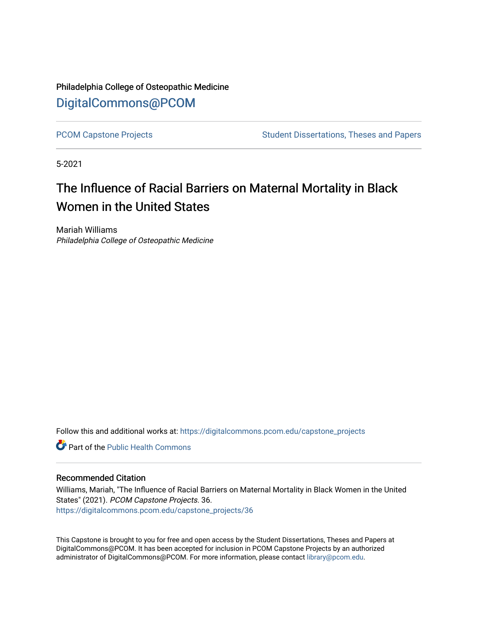Philadelphia College of Osteopathic Medicine [DigitalCommons@PCOM](https://digitalcommons.pcom.edu/) 

[PCOM Capstone Projects](https://digitalcommons.pcom.edu/capstone_projects) **Student Dissertations, Theses and Papers** Student Dissertations, Theses and Papers

5-2021

# The Influence of Racial Barriers on Maternal Mortality in Black Women in the United States

Mariah Williams Philadelphia College of Osteopathic Medicine

Follow this and additional works at: [https://digitalcommons.pcom.edu/capstone\\_projects](https://digitalcommons.pcom.edu/capstone_projects?utm_source=digitalcommons.pcom.edu%2Fcapstone_projects%2F36&utm_medium=PDF&utm_campaign=PDFCoverPages)

**C** Part of the Public Health Commons

#### Recommended Citation

Williams, Mariah, "The Influence of Racial Barriers on Maternal Mortality in Black Women in the United States" (2021). PCOM Capstone Projects. 36. [https://digitalcommons.pcom.edu/capstone\\_projects/36](https://digitalcommons.pcom.edu/capstone_projects/36?utm_source=digitalcommons.pcom.edu%2Fcapstone_projects%2F36&utm_medium=PDF&utm_campaign=PDFCoverPages) 

This Capstone is brought to you for free and open access by the Student Dissertations, Theses and Papers at DigitalCommons@PCOM. It has been accepted for inclusion in PCOM Capstone Projects by an authorized administrator of DigitalCommons@PCOM. For more information, please contact [library@pcom.edu.](mailto:library@pcom.edu)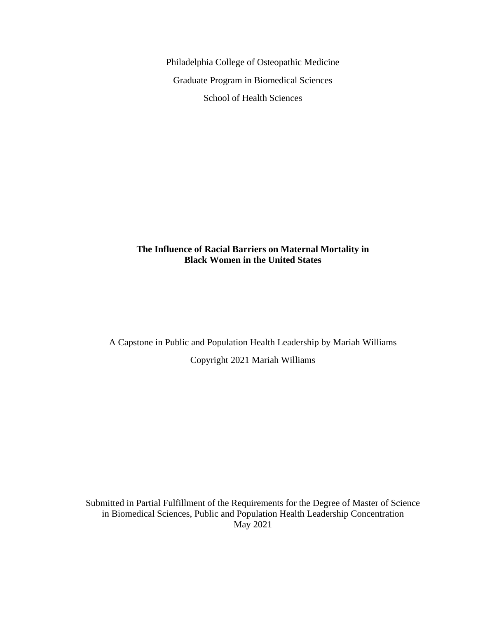Philadelphia College of Osteopathic Medicine Graduate Program in Biomedical Sciences School of Health Sciences

## **The Influence of Racial Barriers on Maternal Mortality in Black Women in the United States**

A Capstone in Public and Population Health Leadership by Mariah Williams Copyright 2021 Mariah Williams

Submitted in Partial Fulfillment of the Requirements for the Degree of Master of Science in Biomedical Sciences, Public and Population Health Leadership Concentration May 2021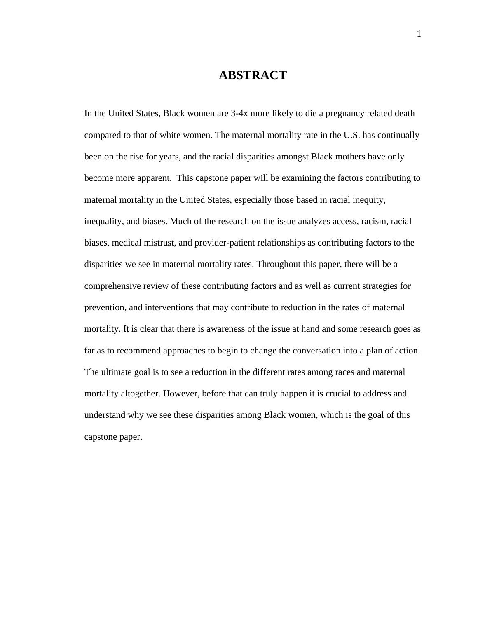# **ABSTRACT**

In the United States, Black women are 3-4x more likely to die a pregnancy related death compared to that of white women. The maternal mortality rate in the U.S. has continually been on the rise for years, and the racial disparities amongst Black mothers have only become more apparent. This capstone paper will be examining the factors contributing to maternal mortality in the United States, especially those based in racial inequity, inequality, and biases. Much of the research on the issue analyzes access, racism, racial biases, medical mistrust, and provider-patient relationships as contributing factors to the disparities we see in maternal mortality rates. Throughout this paper, there will be a comprehensive review of these contributing factors and as well as current strategies for prevention, and interventions that may contribute to reduction in the rates of maternal mortality. It is clear that there is awareness of the issue at hand and some research goes as far as to recommend approaches to begin to change the conversation into a plan of action. The ultimate goal is to see a reduction in the different rates among races and maternal mortality altogether. However, before that can truly happen it is crucial to address and understand why we see these disparities among Black women, which is the goal of this capstone paper.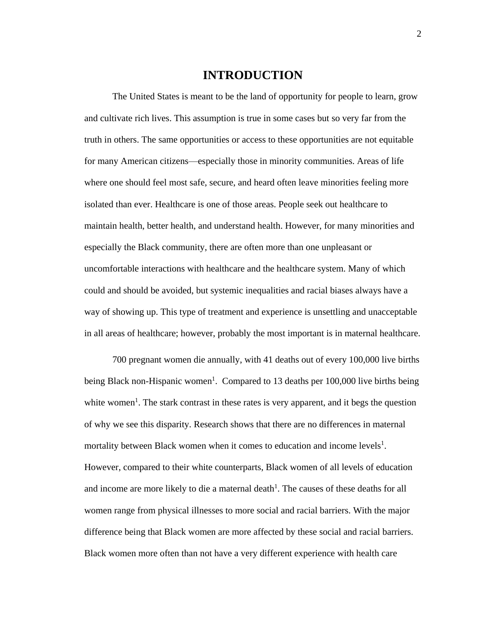### **INTRODUCTION**

The United States is meant to be the land of opportunity for people to learn, grow and cultivate rich lives. This assumption is true in some cases but so very far from the truth in others. The same opportunities or access to these opportunities are not equitable for many American citizens—especially those in minority communities. Areas of life where one should feel most safe, secure, and heard often leave minorities feeling more isolated than ever. Healthcare is one of those areas. People seek out healthcare to maintain health, better health, and understand health. However, for many minorities and especially the Black community, there are often more than one unpleasant or uncomfortable interactions with healthcare and the healthcare system. Many of which could and should be avoided, but systemic inequalities and racial biases always have a way of showing up. This type of treatment and experience is unsettling and unacceptable in all areas of healthcare; however, probably the most important is in maternal healthcare.

700 pregnant women die annually, with 41 deaths out of every 100,000 live births being Black non-Hispanic women<sup>1</sup>. Compared to 13 deaths per 100,000 live births being white women<sup>1</sup>. The stark contrast in these rates is very apparent, and it begs the question of why we see this disparity. Research shows that there are no differences in maternal mortality between Black women when it comes to education and income levels<sup>1</sup>. However, compared to their white counterparts, Black women of all levels of education and income are more likely to die a maternal death $<sup>1</sup>$ . The causes of these deaths for all</sup> women range from physical illnesses to more social and racial barriers. With the major difference being that Black women are more affected by these social and racial barriers. Black women more often than not have a very different experience with health care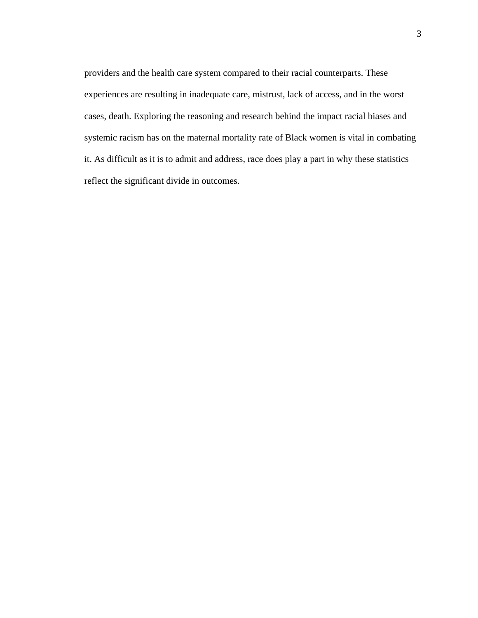providers and the health care system compared to their racial counterparts. These experiences are resulting in inadequate care, mistrust, lack of access, and in the worst cases, death. Exploring the reasoning and research behind the impact racial biases and systemic racism has on the maternal mortality rate of Black women is vital in combating it. As difficult as it is to admit and address, race does play a part in why these statistics reflect the significant divide in outcomes.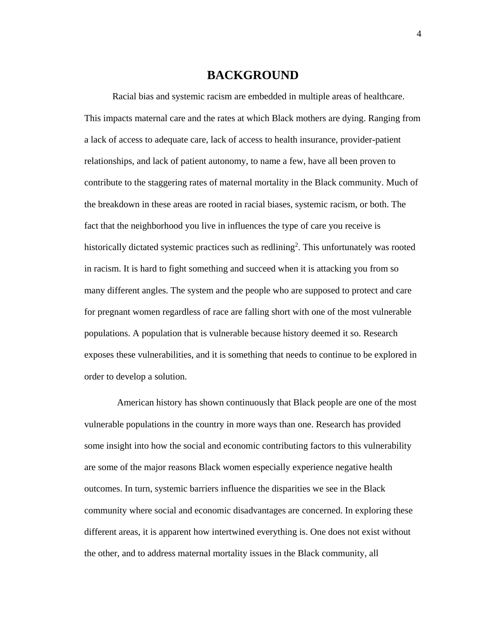# **BACKGROUND**

Racial bias and systemic racism are embedded in multiple areas of healthcare. This impacts maternal care and the rates at which Black mothers are dying. Ranging from a lack of access to adequate care, lack of access to health insurance, provider-patient relationships, and lack of patient autonomy, to name a few, have all been proven to contribute to the staggering rates of maternal mortality in the Black community. Much of the breakdown in these areas are rooted in racial biases, systemic racism, or both. The fact that the neighborhood you live in influences the type of care you receive is historically dictated systemic practices such as redlining<sup>2</sup>. This unfortunately was rooted in racism. It is hard to fight something and succeed when it is attacking you from so many different angles. The system and the people who are supposed to protect and care for pregnant women regardless of race are falling short with one of the most vulnerable populations. A population that is vulnerable because history deemed it so. Research exposes these vulnerabilities, and it is something that needs to continue to be explored in order to develop a solution.

 American history has shown continuously that Black people are one of the most vulnerable populations in the country in more ways than one. Research has provided some insight into how the social and economic contributing factors to this vulnerability are some of the major reasons Black women especially experience negative health outcomes. In turn, systemic barriers influence the disparities we see in the Black community where social and economic disadvantages are concerned. In exploring these different areas, it is apparent how intertwined everything is. One does not exist without the other, and to address maternal mortality issues in the Black community, all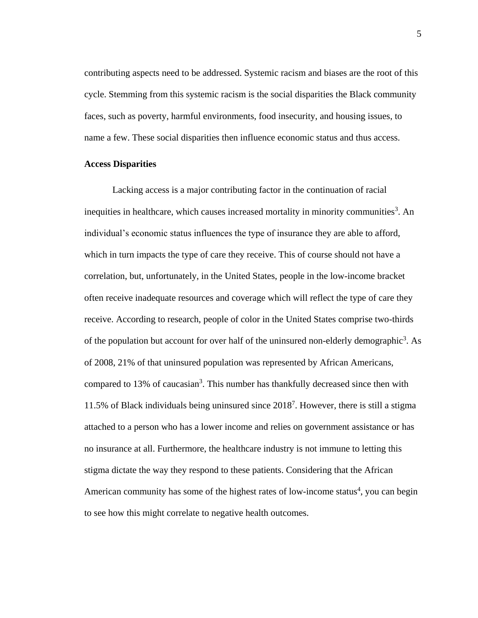contributing aspects need to be addressed. Systemic racism and biases are the root of this cycle. Stemming from this systemic racism is the social disparities the Black community faces, such as poverty, harmful environments, food insecurity, and housing issues, to name a few. These social disparities then influence economic status and thus access.

#### **Access Disparities**

Lacking access is a major contributing factor in the continuation of racial inequities in healthcare, which causes increased mortality in minority communities<sup>3</sup>. An individual's economic status influences the type of insurance they are able to afford, which in turn impacts the type of care they receive. This of course should not have a correlation, but, unfortunately, in the United States, people in the low-income bracket often receive inadequate resources and coverage which will reflect the type of care they receive. According to research, people of color in the United States comprise two-thirds of the population but account for over half of the uninsured non-elderly demographic<sup>3</sup>. As of 2008, 21% of that uninsured population was represented by African Americans, compared to 13% of caucasian<sup>3</sup>. This number has thankfully decreased since then with 11.5% of Black individuals being uninsured since 2018<sup>7</sup> . However, there is still a stigma attached to a person who has a lower income and relies on government assistance or has no insurance at all. Furthermore, the healthcare industry is not immune to letting this stigma dictate the way they respond to these patients. Considering that the African American community has some of the highest rates of low-income status $4$ , you can begin to see how this might correlate to negative health outcomes.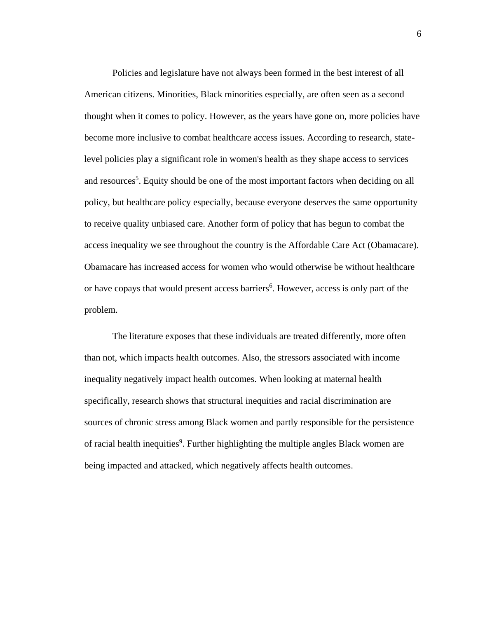Policies and legislature have not always been formed in the best interest of all American citizens. Minorities, Black minorities especially, are often seen as a second thought when it comes to policy. However, as the years have gone on, more policies have become more inclusive to combat healthcare access issues. According to research, statelevel policies play a significant role in women's health as they shape access to services and resources<sup>5</sup>. Equity should be one of the most important factors when deciding on all policy, but healthcare policy especially, because everyone deserves the same opportunity to receive quality unbiased care. Another form of policy that has begun to combat the access inequality we see throughout the country is the Affordable Care Act (Obamacare). Obamacare has increased access for women who would otherwise be without healthcare or have copays that would present access barriers<sup>6</sup>. However, access is only part of the problem.

The literature exposes that these individuals are treated differently, more often than not, which impacts health outcomes. Also, the stressors associated with income inequality negatively impact health outcomes. When looking at maternal health specifically, research shows that structural inequities and racial discrimination are sources of chronic stress among Black women and partly responsible for the persistence of racial health inequities<sup>9</sup>. Further highlighting the multiple angles Black women are being impacted and attacked, which negatively affects health outcomes.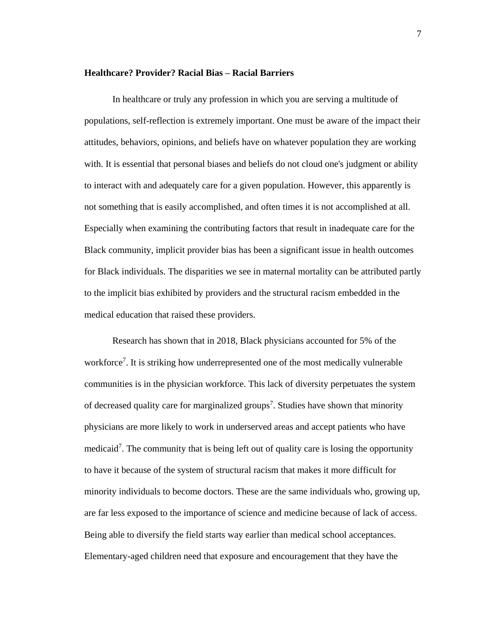#### **Healthcare? Provider? Racial Bias – Racial Barriers**

In healthcare or truly any profession in which you are serving a multitude of populations, self-reflection is extremely important. One must be aware of the impact their attitudes, behaviors, opinions, and beliefs have on whatever population they are working with. It is essential that personal biases and beliefs do not cloud one's judgment or ability to interact with and adequately care for a given population. However, this apparently is not something that is easily accomplished, and often times it is not accomplished at all. Especially when examining the contributing factors that result in inadequate care for the Black community, implicit provider bias has been a significant issue in health outcomes for Black individuals. The disparities we see in maternal mortality can be attributed partly to the implicit bias exhibited by providers and the structural racism embedded in the medical education that raised these providers.

Research has shown that in 2018, Black physicians accounted for 5% of the workforce<sup>7</sup>. It is striking how underrepresented one of the most medically vulnerable communities is in the physician workforce. This lack of diversity perpetuates the system of decreased quality care for marginalized groups<sup>7</sup>. Studies have shown that minority physicians are more likely to work in underserved areas and accept patients who have medicaid<sup>7</sup>. The community that is being left out of quality care is losing the opportunity to have it because of the system of structural racism that makes it more difficult for minority individuals to become doctors. These are the same individuals who, growing up, are far less exposed to the importance of science and medicine because of lack of access. Being able to diversify the field starts way earlier than medical school acceptances. Elementary-aged children need that exposure and encouragement that they have the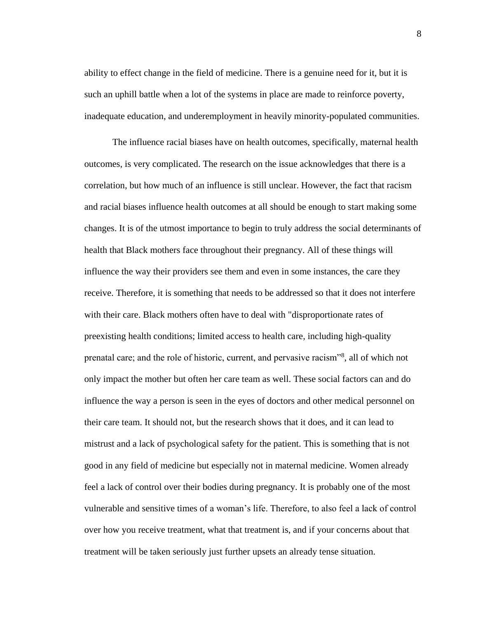ability to effect change in the field of medicine. There is a genuine need for it, but it is such an uphill battle when a lot of the systems in place are made to reinforce poverty, inadequate education, and underemployment in heavily minority-populated communities.

The influence racial biases have on health outcomes, specifically, maternal health outcomes, is very complicated. The research on the issue acknowledges that there is a correlation, but how much of an influence is still unclear. However, the fact that racism and racial biases influence health outcomes at all should be enough to start making some changes. It is of the utmost importance to begin to truly address the social determinants of health that Black mothers face throughout their pregnancy. All of these things will influence the way their providers see them and even in some instances, the care they receive. Therefore, it is something that needs to be addressed so that it does not interfere with their care. Black mothers often have to deal with "disproportionate rates of preexisting health conditions; limited access to health care, including high-quality prenatal care; and the role of historic, current, and pervasive racism"<sup>8</sup>, all of which not only impact the mother but often her care team as well. These social factors can and do influence the way a person is seen in the eyes of doctors and other medical personnel on their care team. It should not, but the research shows that it does, and it can lead to mistrust and a lack of psychological safety for the patient. This is something that is not good in any field of medicine but especially not in maternal medicine. Women already feel a lack of control over their bodies during pregnancy. It is probably one of the most vulnerable and sensitive times of a woman's life. Therefore, to also feel a lack of control over how you receive treatment, what that treatment is, and if your concerns about that treatment will be taken seriously just further upsets an already tense situation.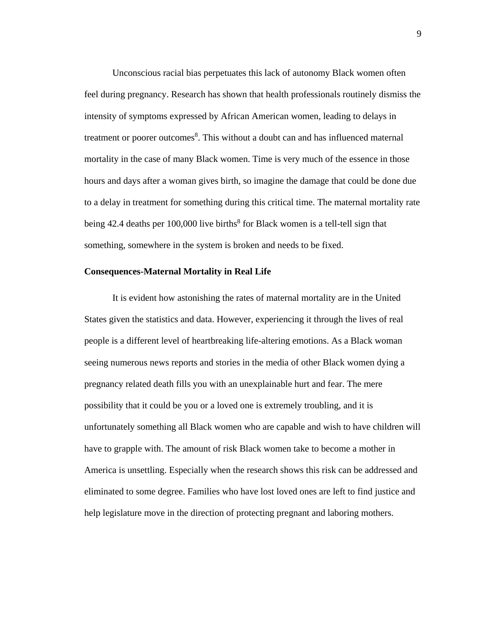Unconscious racial bias perpetuates this lack of autonomy Black women often feel during pregnancy. Research has shown that health professionals routinely dismiss the intensity of symptoms expressed by African American women, leading to delays in treatment or poorer outcomes<sup>8</sup>. This without a doubt can and has influenced maternal mortality in the case of many Black women. Time is very much of the essence in those hours and days after a woman gives birth, so imagine the damage that could be done due to a delay in treatment for something during this critical time. The maternal mortality rate being 42.4 deaths per 100,000 live births<sup>8</sup> for Black women is a tell-tell sign that something, somewhere in the system is broken and needs to be fixed.

#### **Consequences-Maternal Mortality in Real Life**

It is evident how astonishing the rates of maternal mortality are in the United States given the statistics and data. However, experiencing it through the lives of real people is a different level of heartbreaking life-altering emotions. As a Black woman seeing numerous news reports and stories in the media of other Black women dying a pregnancy related death fills you with an unexplainable hurt and fear. The mere possibility that it could be you or a loved one is extremely troubling, and it is unfortunately something all Black women who are capable and wish to have children will have to grapple with. The amount of risk Black women take to become a mother in America is unsettling. Especially when the research shows this risk can be addressed and eliminated to some degree. Families who have lost loved ones are left to find justice and help legislature move in the direction of protecting pregnant and laboring mothers.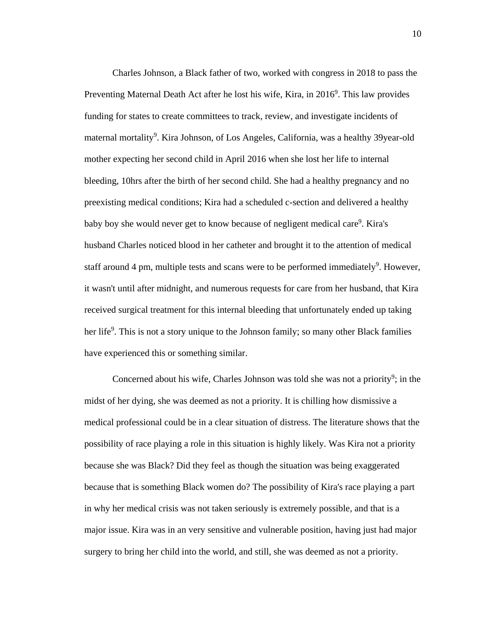Charles Johnson, a Black father of two, worked with congress in 2018 to pass the Preventing Maternal Death Act after he lost his wife, Kira, in 2016<sup>9</sup>. This law provides funding for states to create committees to track, review, and investigate incidents of maternal mortality<sup>9</sup>. Kira Johnson, of Los Angeles, California, was a healthy 39year-old mother expecting her second child in April 2016 when she lost her life to internal bleeding, 10hrs after the birth of her second child. She had a healthy pregnancy and no preexisting medical conditions; Kira had a scheduled c-section and delivered a healthy baby boy she would never get to know because of negligent medical care<sup>9</sup>. Kira's husband Charles noticed blood in her catheter and brought it to the attention of medical staff around 4 pm, multiple tests and scans were to be performed immediately<sup>9</sup>. However, it wasn't until after midnight, and numerous requests for care from her husband, that Kira received surgical treatment for this internal bleeding that unfortunately ended up taking her life<sup>9</sup>. This is not a story unique to the Johnson family; so many other Black families have experienced this or something similar.

Concerned about his wife, Charles Johnson was told she was not a priority<sup>9</sup>; in the midst of her dying, she was deemed as not a priority. It is chilling how dismissive a medical professional could be in a clear situation of distress. The literature shows that the possibility of race playing a role in this situation is highly likely. Was Kira not a priority because she was Black? Did they feel as though the situation was being exaggerated because that is something Black women do? The possibility of Kira's race playing a part in why her medical crisis was not taken seriously is extremely possible, and that is a major issue. Kira was in an very sensitive and vulnerable position, having just had major surgery to bring her child into the world, and still, she was deemed as not a priority.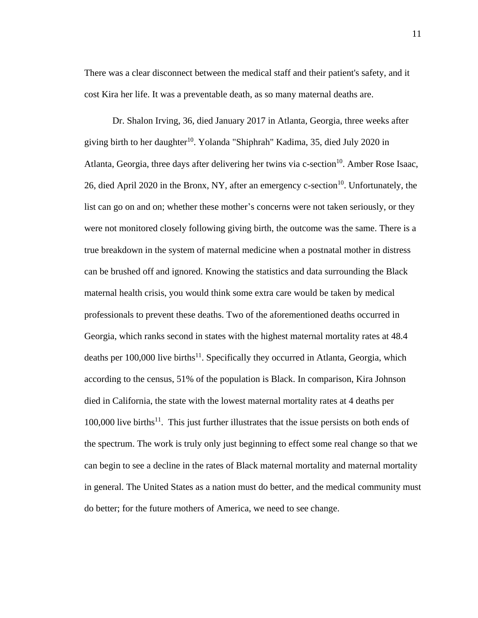There was a clear disconnect between the medical staff and their patient's safety, and it cost Kira her life. It was a preventable death, as so many maternal deaths are.

Dr. Shalon Irving, 36, died January 2017 in Atlanta, Georgia, three weeks after giving birth to her daughter<sup>10</sup>. Yolanda "Shiphrah" Kadima, 35, died July 2020 in Atlanta, Georgia, three days after delivering her twins via c-section<sup>10</sup>. Amber Rose Isaac, 26, died April 2020 in the Bronx, NY, after an emergency c-section<sup>10</sup>. Unfortunately, the list can go on and on; whether these mother's concerns were not taken seriously, or they were not monitored closely following giving birth, the outcome was the same. There is a true breakdown in the system of maternal medicine when a postnatal mother in distress can be brushed off and ignored. Knowing the statistics and data surrounding the Black maternal health crisis, you would think some extra care would be taken by medical professionals to prevent these deaths. Two of the aforementioned deaths occurred in Georgia, which ranks second in states with the highest maternal mortality rates at 48.4 deaths per 100,000 live births<sup>11</sup>. Specifically they occurred in Atlanta, Georgia, which according to the census, 51% of the population is Black. In comparison, Kira Johnson died in California, the state with the lowest maternal mortality rates at 4 deaths per  $100,000$  live births<sup>11</sup>. This just further illustrates that the issue persists on both ends of the spectrum. The work is truly only just beginning to effect some real change so that we can begin to see a decline in the rates of Black maternal mortality and maternal mortality in general. The United States as a nation must do better, and the medical community must do better; for the future mothers of America, we need to see change.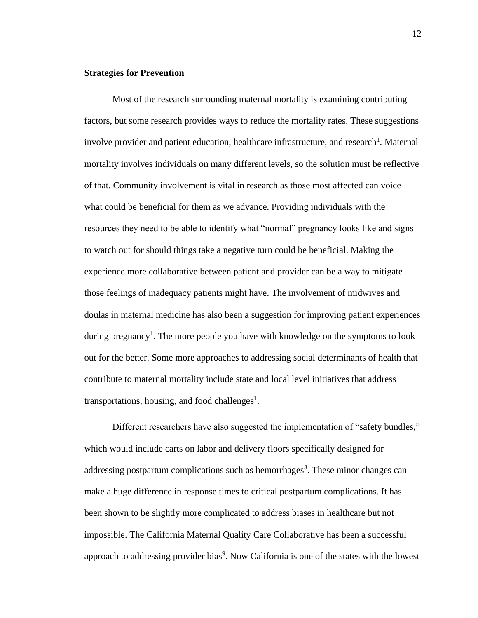#### **Strategies for Prevention**

Most of the research surrounding maternal mortality is examining contributing factors, but some research provides ways to reduce the mortality rates. These suggestions involve provider and patient education, healthcare infrastructure, and research<sup>1</sup>. Maternal mortality involves individuals on many different levels, so the solution must be reflective of that. Community involvement is vital in research as those most affected can voice what could be beneficial for them as we advance. Providing individuals with the resources they need to be able to identify what "normal" pregnancy looks like and signs to watch out for should things take a negative turn could be beneficial. Making the experience more collaborative between patient and provider can be a way to mitigate those feelings of inadequacy patients might have. The involvement of midwives and doulas in maternal medicine has also been a suggestion for improving patient experiences during pregnancy<sup>1</sup>. The more people you have with knowledge on the symptoms to look out for the better. Some more approaches to addressing social determinants of health that contribute to maternal mortality include state and local level initiatives that address transportations, housing, and food challenges<sup>1</sup>.

Different researchers have also suggested the implementation of "safety bundles," which would include carts on labor and delivery floors specifically designed for addressing postpartum complications such as hemorrhages<sup>8</sup>. These minor changes can make a huge difference in response times to critical postpartum complications. It has been shown to be slightly more complicated to address biases in healthcare but not impossible. The California Maternal Quality Care Collaborative has been a successful approach to addressing provider bias<sup>9</sup>. Now California is one of the states with the lowest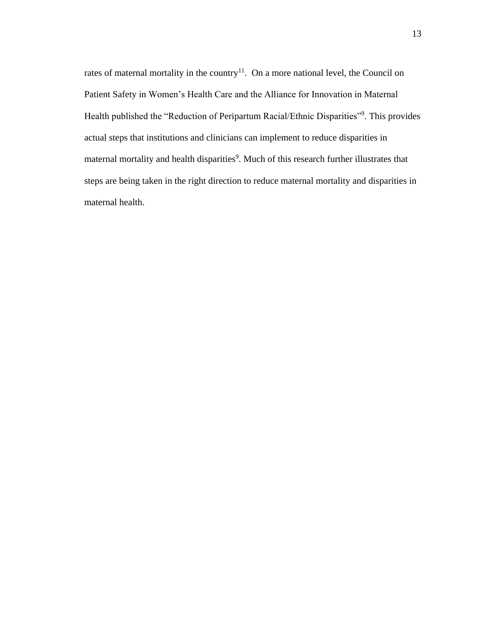rates of maternal mortality in the country<sup>11</sup>. On a more national level, the Council on Patient Safety in Women's Health Care and the Alliance for Innovation in Maternal Health published the "Reduction of Peripartum Racial/Ethnic Disparities"<sup>9</sup>. This provides actual steps that institutions and clinicians can implement to reduce disparities in maternal mortality and health disparities<sup>9</sup>. Much of this research further illustrates that steps are being taken in the right direction to reduce maternal mortality and disparities in maternal health.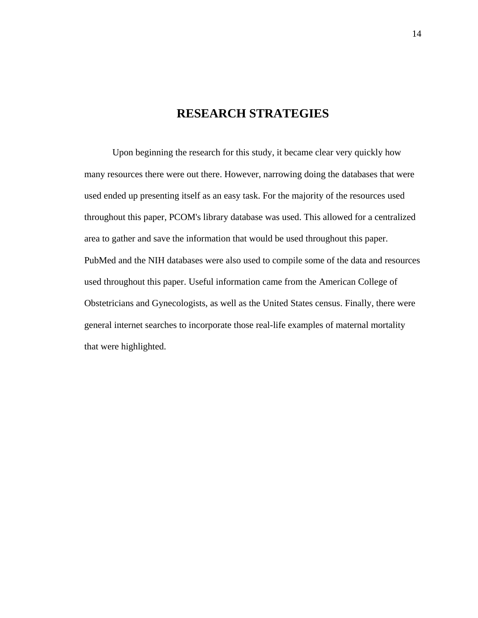# **RESEARCH STRATEGIES**

Upon beginning the research for this study, it became clear very quickly how many resources there were out there. However, narrowing doing the databases that were used ended up presenting itself as an easy task. For the majority of the resources used throughout this paper, PCOM's library database was used. This allowed for a centralized area to gather and save the information that would be used throughout this paper. PubMed and the NIH databases were also used to compile some of the data and resources used throughout this paper. Useful information came from the American College of Obstetricians and Gynecologists, as well as the United States census. Finally, there were general internet searches to incorporate those real-life examples of maternal mortality that were highlighted.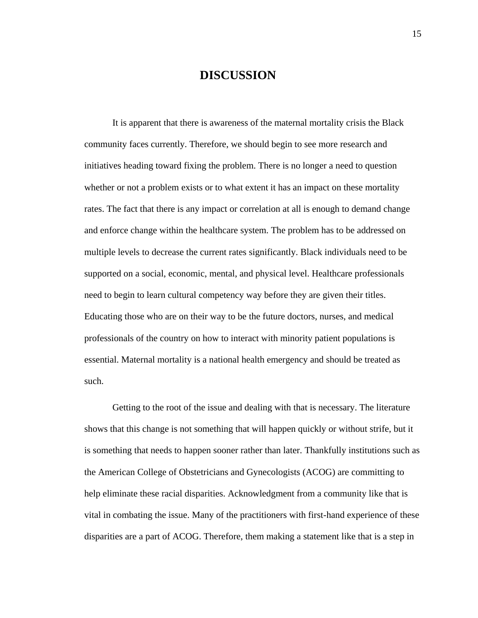# **DISCUSSION**

It is apparent that there is awareness of the maternal mortality crisis the Black community faces currently. Therefore, we should begin to see more research and initiatives heading toward fixing the problem. There is no longer a need to question whether or not a problem exists or to what extent it has an impact on these mortality rates. The fact that there is any impact or correlation at all is enough to demand change and enforce change within the healthcare system. The problem has to be addressed on multiple levels to decrease the current rates significantly. Black individuals need to be supported on a social, economic, mental, and physical level. Healthcare professionals need to begin to learn cultural competency way before they are given their titles. Educating those who are on their way to be the future doctors, nurses, and medical professionals of the country on how to interact with minority patient populations is essential. Maternal mortality is a national health emergency and should be treated as such.

Getting to the root of the issue and dealing with that is necessary. The literature shows that this change is not something that will happen quickly or without strife, but it is something that needs to happen sooner rather than later. Thankfully institutions such as the American College of Obstetricians and Gynecologists (ACOG) are committing to help eliminate these racial disparities. Acknowledgment from a community like that is vital in combating the issue. Many of the practitioners with first-hand experience of these disparities are a part of ACOG. Therefore, them making a statement like that is a step in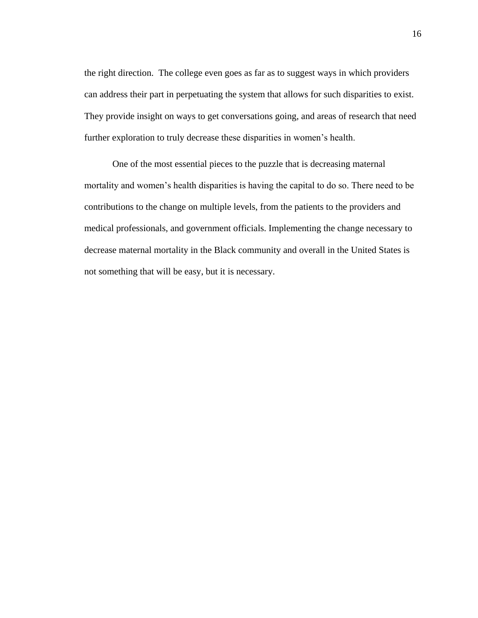the right direction. The college even goes as far as to suggest ways in which providers can address their part in perpetuating the system that allows for such disparities to exist. They provide insight on ways to get conversations going, and areas of research that need further exploration to truly decrease these disparities in women's health.

One of the most essential pieces to the puzzle that is decreasing maternal mortality and women's health disparities is having the capital to do so. There need to be contributions to the change on multiple levels, from the patients to the providers and medical professionals, and government officials. Implementing the change necessary to decrease maternal mortality in the Black community and overall in the United States is not something that will be easy, but it is necessary.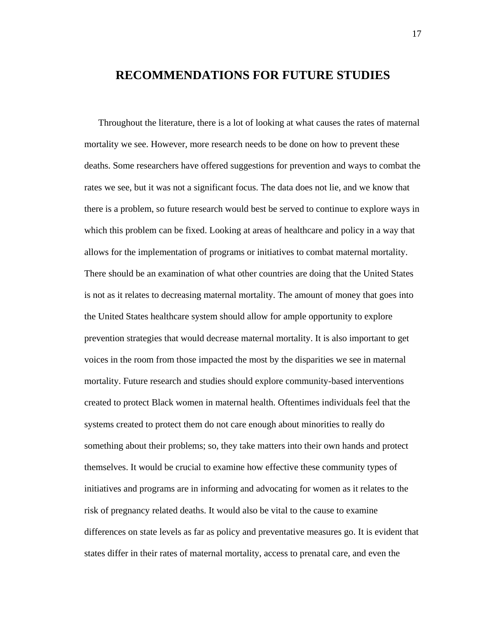### **RECOMMENDATIONS FOR FUTURE STUDIES**

Throughout the literature, there is a lot of looking at what causes the rates of maternal mortality we see. However, more research needs to be done on how to prevent these deaths. Some researchers have offered suggestions for prevention and ways to combat the rates we see, but it was not a significant focus. The data does not lie, and we know that there is a problem, so future research would best be served to continue to explore ways in which this problem can be fixed. Looking at areas of healthcare and policy in a way that allows for the implementation of programs or initiatives to combat maternal mortality. There should be an examination of what other countries are doing that the United States is not as it relates to decreasing maternal mortality. The amount of money that goes into the United States healthcare system should allow for ample opportunity to explore prevention strategies that would decrease maternal mortality. It is also important to get voices in the room from those impacted the most by the disparities we see in maternal mortality. Future research and studies should explore community-based interventions created to protect Black women in maternal health. Oftentimes individuals feel that the systems created to protect them do not care enough about minorities to really do something about their problems; so, they take matters into their own hands and protect themselves. It would be crucial to examine how effective these community types of initiatives and programs are in informing and advocating for women as it relates to the risk of pregnancy related deaths. It would also be vital to the cause to examine differences on state levels as far as policy and preventative measures go. It is evident that states differ in their rates of maternal mortality, access to prenatal care, and even the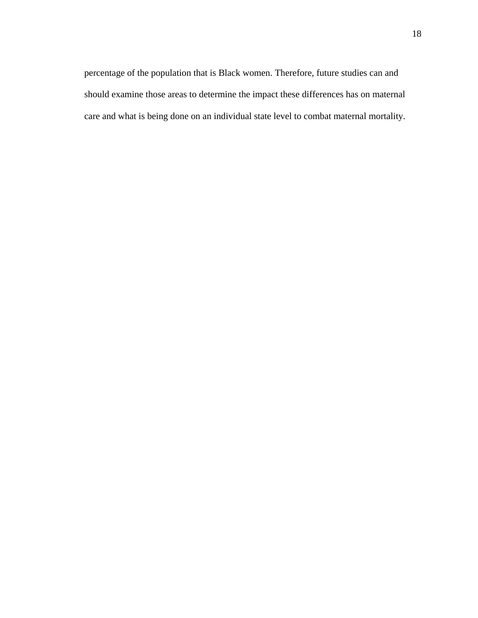percentage of the population that is Black women. Therefore, future studies can and should examine those areas to determine the impact these differences has on maternal care and what is being done on an individual state level to combat maternal mortality.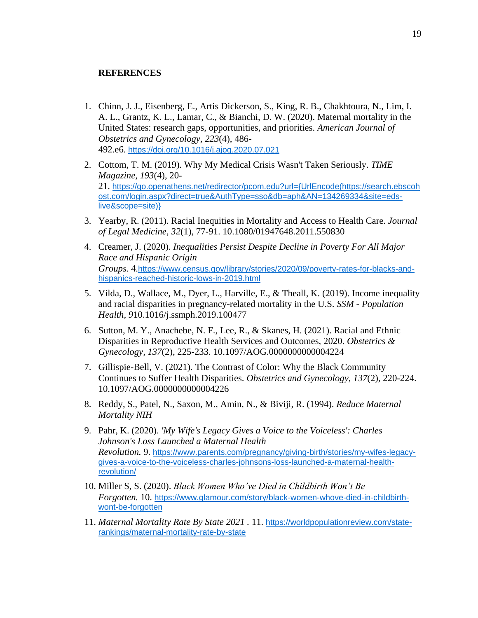#### **REFERENCES**

- 1. Chinn, J. J., Eisenberg, E., Artis Dickerson, S., King, R. B., Chakhtoura, N., Lim, I. A. L., Grantz, K. L., Lamar, C., & Bianchi, D. W. (2020). Maternal mortality in the United States: research gaps, opportunities, and priorities. *American Journal of Obstetrics and Gynecology, 223*(4), 486- 492.e6. <https://doi.org/10.1016/j.ajog.2020.07.021>
- 2. Cottom, T. M. (2019). Why My Medical Crisis Wasn't Taken Seriously. *TIME Magazine, 193*(4), 20- 21. [https://go.openathens.net/redirector/pcom.edu?url={UrlEncode\(https://search.ebscoh](https://go.openathens.net/redirector/pcom.edu?url=%7bUrlEncode(https://search.ebscohost.com/login.aspx?direct=true&AuthType=sso&db=aph&AN=134269334&site=eds-live&scope=site)%7d) [ost.com/login.aspx?direct=true&AuthType=sso&db=aph&AN=134269334&site=eds](https://go.openathens.net/redirector/pcom.edu?url=%7bUrlEncode(https://search.ebscohost.com/login.aspx?direct=true&AuthType=sso&db=aph&AN=134269334&site=eds-live&scope=site)%7d)[live&scope=site\)}](https://go.openathens.net/redirector/pcom.edu?url=%7bUrlEncode(https://search.ebscohost.com/login.aspx?direct=true&AuthType=sso&db=aph&AN=134269334&site=eds-live&scope=site)%7d)
- 3. Yearby, R. (2011). Racial Inequities in Mortality and Access to Health Care. *Journal of Legal Medicine, 32*(1), 77-91. 10.1080/01947648.2011.550830
- 4. Creamer, J. (2020). *Inequalities Persist Despite Decline in Poverty For All Major Race and Hispanic Origin Groups.* 4.[https://www.census.gov/library/stories/2020/09/poverty-rates-for-blacks-and](https://www.census.gov/library/stories/2020/09/poverty-rates-for-blacks-and-hispanics-reached-historic-lows-in-2019.html)[hispanics-reached-historic-lows-in-2019.html](https://www.census.gov/library/stories/2020/09/poverty-rates-for-blacks-and-hispanics-reached-historic-lows-in-2019.html)
- 5. Vilda, D., Wallace, M., Dyer, L., Harville, E., & Theall, K. (2019). Income inequality and racial disparities in pregnancy-related mortality in the U.S. *SSM - Population Health, 9*10.1016/j.ssmph.2019.100477
- 6. Sutton, M. Y., Anachebe, N. F., Lee, R., & Skanes, H. (2021). Racial and Ethnic Disparities in Reproductive Health Services and Outcomes, 2020. *Obstetrics & Gynecology, 137*(2), 225-233. 10.1097/AOG.0000000000004224
- 7. Gillispie-Bell, V. (2021). The Contrast of Color: Why the Black Community Continues to Suffer Health Disparities. *Obstetrics and Gynecology, 137*(2), 220-224. 10.1097/AOG.0000000000004226
- 8. Reddy, S., Patel, N., Saxon, M., Amin, N., & Biviji, R. (1994). *Reduce Maternal Mortality NIH*
- 9. Pahr, K. (2020). *'My Wife's Legacy Gives a Voice to the Voiceless': Charles Johnson's Loss Launched a Maternal Health Revolution.* 9. [https://www.parents.com/pregnancy/giving-birth/stories/my-wifes-legacy](https://www.parents.com/pregnancy/giving-birth/stories/my-wifes-legacy-gives-a-voice-to-the-voiceless-charles-johnsons-loss-launched-a-maternal-health-revolution/)[gives-a-voice-to-the-voiceless-charles-johnsons-loss-launched-a-maternal-health](https://www.parents.com/pregnancy/giving-birth/stories/my-wifes-legacy-gives-a-voice-to-the-voiceless-charles-johnsons-loss-launched-a-maternal-health-revolution/)[revolution/](https://www.parents.com/pregnancy/giving-birth/stories/my-wifes-legacy-gives-a-voice-to-the-voiceless-charles-johnsons-loss-launched-a-maternal-health-revolution/)
- 10. Miller S, S. (2020). *Black Women Who've Died in Childbirth Won't Be Forgotten.* 10. [https://www.glamour.com/story/black-women-whove-died-in-childbirth](https://www.glamour.com/story/black-women-whove-died-in-childbirth-wont-be-forgotten)[wont-be-forgotten](https://www.glamour.com/story/black-women-whove-died-in-childbirth-wont-be-forgotten)
- 11. *Maternal Mortality Rate By State 2021 .* 11. [https://worldpopulationreview.com/state](https://worldpopulationreview.com/state-rankings/maternal-mortality-rate-by-state)[rankings/maternal-mortality-rate-by-state](https://worldpopulationreview.com/state-rankings/maternal-mortality-rate-by-state)